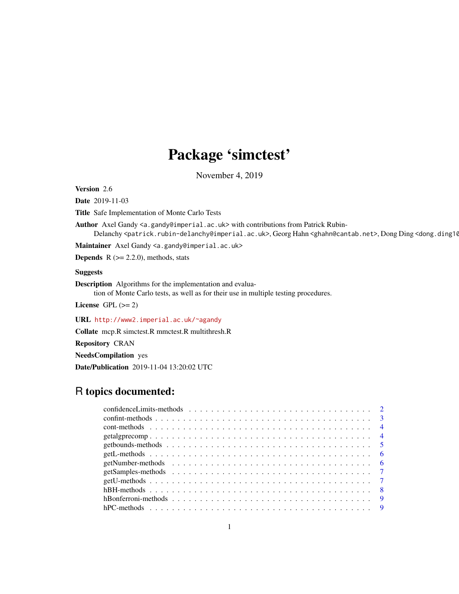# Package 'simctest'

November 4, 2019

Version 2.6

Date 2019-11-03

Title Safe Implementation of Monte Carlo Tests

Author Axel Gandy <a.gandy@imperial.ac.uk> with contributions from Patrick Rubin-Delanchy <patrick.rubin-delanchy@imperial.ac.uk>, Georg Hahn <ghahn@cantab.net>, Dong Ding <dong.ding10

Maintainer Axel Gandy <a.gandy@imperial.ac.uk>

**Depends**  $R$  ( $>= 2.2.0$ ), methods, stats

# Suggests

Description Algorithms for the implementation and evalua-

tion of Monte Carlo tests, as well as for their use in multiple testing procedures.

License GPL  $(>= 2)$ 

URL <http://www2.imperial.ac.uk/~agandy>

Collate mcp.R simctest.R mmctest.R multithresh.R

Repository CRAN

NeedsCompilation yes

Date/Publication 2019-11-04 13:20:02 UTC

# R topics documented: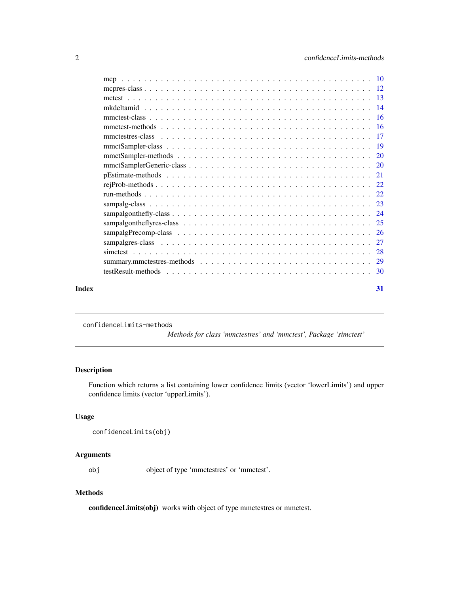<span id="page-1-0"></span>

| Index | 31 |
|-------|----|

confidenceLimits-methods

*Methods for class 'mmctestres' and 'mmctest', Package 'simctest'*

# Description

Function which returns a list containing lower confidence limits (vector 'lowerLimits') and upper confidence limits (vector 'upperLimits').

# Usage

```
confidenceLimits(obj)
```
# Arguments

obj object of type 'mmctestres' or 'mmctest'.

# Methods

confidenceLimits(obj) works with object of type mmctestres or mmctest.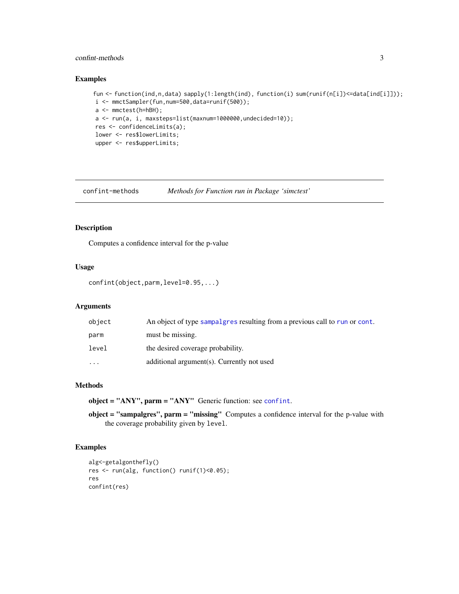# <span id="page-2-0"></span>confint-methods 3

# Examples

```
fun <- function(ind,n,data) sapply(1:length(ind), function(i) sum(runif(n[i])<=data[ind[i]]));
i <- mmctSampler(fun,num=500,data=runif(500));
a <- mmctest(h=hBH);
a \leq run(a, i, maxsteps=list(maxnum=1000000, undecided=10));res <- confidenceLimits(a);
lower <- res$lowerLimits;
upper <- res$upperLimits;
```
confint-methods *Methods for Function run in Package 'simctest'*

# <span id="page-2-1"></span>Description

Computes a confidence interval for the p-value

#### Usage

```
confint(object,parm,level=0.95,...)
```
# Arguments

| object   | An object of type sampalgres resulting from a previous call to run or cont. |
|----------|-----------------------------------------------------------------------------|
| parm     | must be missing.                                                            |
| level    | the desired coverage probability.                                           |
| $\cdots$ | additional argument(s). Currently not used                                  |

# Methods

object = "ANY", parm = "ANY" Generic function: see [confint](#page-2-1).

object = "sampalgres", parm = "missing" Computes a confidence interval for the p-value with the coverage probability given by level.

```
alg<-getalgonthefly()
res <- run(alg, function() runif(1)<0.05);
res
confint(res)
```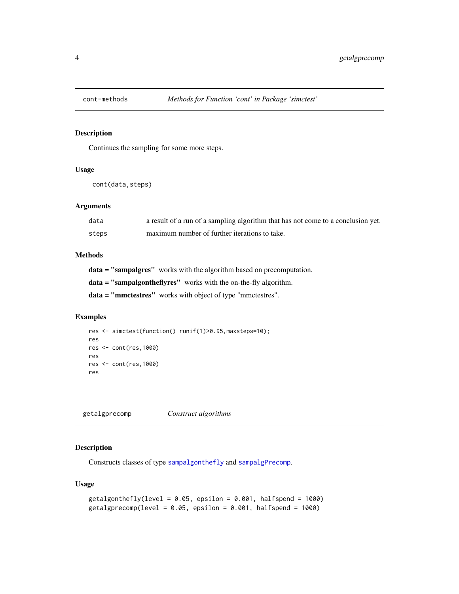<span id="page-3-1"></span><span id="page-3-0"></span>

#### Description

Continues the sampling for some more steps.

# Usage

cont(data,steps)

# Arguments

| data  | a result of a run of a sampling algorithm that has not come to a conclusion yet. |
|-------|----------------------------------------------------------------------------------|
| steps | maximum number of further iterations to take.                                    |

# Methods

data = "sampalgres" works with the algorithm based on precomputation.

data = "sampalgontheflyres" works with the on-the-fly algorithm.

data = "mmctestres" works with object of type "mmctestres".

# Examples

```
res <- simctest(function() runif(1)>0.95,maxsteps=10);
res
res <- cont(res,1000)
res
res <- cont(res,1000)
res
```
<span id="page-3-2"></span>getalgprecomp *Construct algorithms*

# <span id="page-3-3"></span>Description

Constructs classes of type [sampalgonthefly](#page-23-1) and [sampalgPrecomp](#page-25-1).

# Usage

```
getalgonthefly(level = 0.05, epsilon = 0.001, halfspend = 1000)
getalgprecomp(level = 0.05, epsilon = 0.001, halfspend = 1000)
```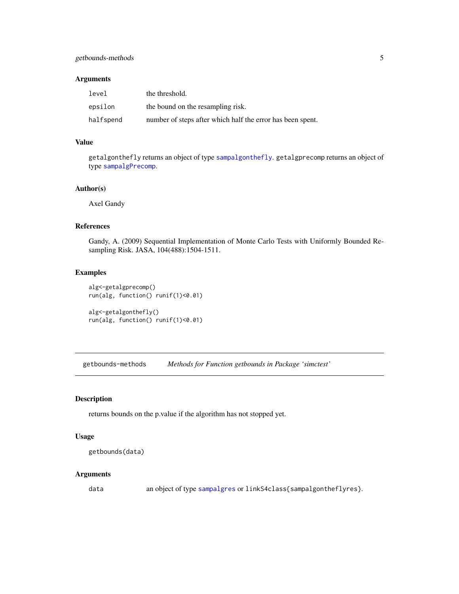#### <span id="page-4-0"></span>Arguments

| level     | the threshold.                                             |
|-----------|------------------------------------------------------------|
| epsilon   | the bound on the resampling risk.                          |
| halfspend | number of steps after which half the error has been spent. |

# Value

getalgonthefly returns an object of type [sampalgonthefly](#page-23-1). getalgprecomp returns an object of type [sampalgPrecomp](#page-25-1).

# Author(s)

Axel Gandy

# References

Gandy, A. (2009) Sequential Implementation of Monte Carlo Tests with Uniformly Bounded Resampling Risk. JASA, 104(488):1504-1511.

# Examples

```
alg<-getalgprecomp()
run(alg, function() runif(1)<0.01)
```

```
alg<-getalgonthefly()
run(alg, function() runif(1)<0.01)
```
getbounds-methods *Methods for Function getbounds in Package 'simctest'*

#### Description

returns bounds on the p.value if the algorithm has not stopped yet.

#### Usage

```
getbounds(data)
```
# Arguments

data an object of type [sampalgres](#page-26-1) or linkS4class{sampalgontheflyres}.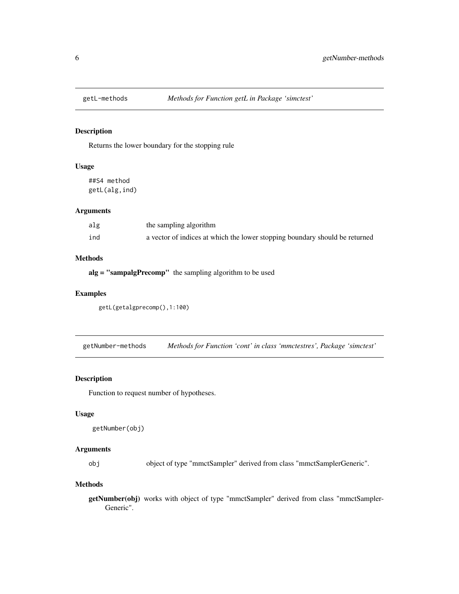<span id="page-5-0"></span>

# Description

Returns the lower boundary for the stopping rule

# Usage

##S4 method getL(alg,ind)

# Arguments

| alg | the sampling algorithm                                                      |
|-----|-----------------------------------------------------------------------------|
| ind | a vector of indices at which the lower stopping boundary should be returned |

# Methods

alg = "sampalgPrecomp" the sampling algorithm to be used

# Examples

```
getL(getalgprecomp(),1:100)
```
getNumber-methods *Methods for Function 'cont' in class 'mmctestres', Package 'simctest'*

#### Description

Function to request number of hypotheses.

# Usage

```
getNumber(obj)
```
# Arguments

obj object of type "mmctSampler" derived from class "mmctSamplerGeneric".

#### Methods

getNumber(obj) works with object of type "mmctSampler" derived from class "mmctSampler-Generic".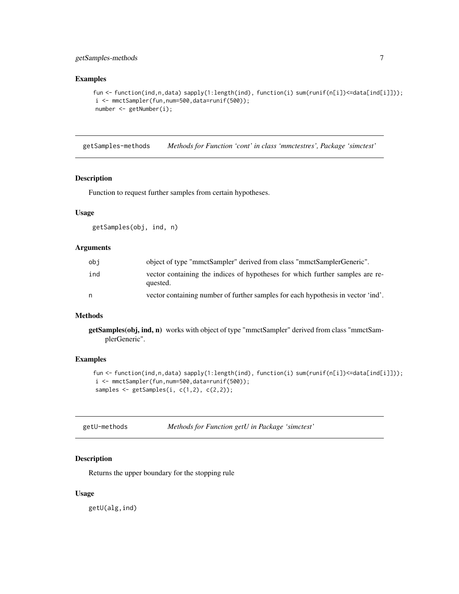# <span id="page-6-0"></span>getSamples-methods 7

# Examples

```
fun <- function(ind,n,data) sapply(1:length(ind), function(i) sum(runif(n[i])<=data[ind[i]]));
i <- mmctSampler(fun,num=500,data=runif(500));
number <- getNumber(i);
```
getSamples-methods *Methods for Function 'cont' in class 'mmctestres', Package 'simctest'*

# Description

Function to request further samples from certain hypotheses.

# Usage

getSamples(obj, ind, n)

# Arguments

| obi | object of type "mmctSampler" derived from class "mmctSamplerGeneric".                     |
|-----|-------------------------------------------------------------------------------------------|
| ind | vector containing the indices of hypotheses for which further samples are re-<br>quested. |
| n   | vector containing number of further samples for each hypothesis in vector 'ind'.          |

# Methods

getSamples(obj, ind, n) works with object of type "mmctSampler" derived from class "mmctSamplerGeneric".

# Examples

```
fun <- function(ind,n,data) sapply(1:length(ind), function(i) sum(runif(n[i])<=data[ind[i]]));
i <- mmctSampler(fun,num=500,data=runif(500));
samples \leq getSamples(i, c(1,2), c(2,2));
```

| getU-methods |  | Methods for Function getU in Package 'simctest' |  |
|--------------|--|-------------------------------------------------|--|
|--------------|--|-------------------------------------------------|--|

# Description

Returns the upper boundary for the stopping rule

#### Usage

getU(alg,ind)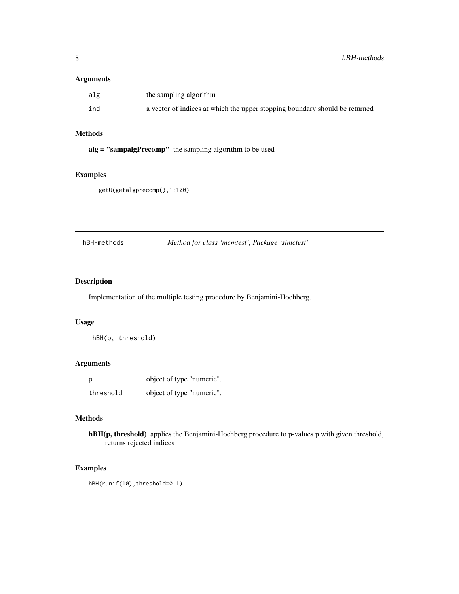# <span id="page-7-0"></span>Arguments

| alg | the sampling algorithm                                                      |
|-----|-----------------------------------------------------------------------------|
| ind | a vector of indices at which the upper stopping boundary should be returned |

# Methods

alg = "sampalgPrecomp" the sampling algorithm to be used

# Examples

getU(getalgprecomp(),1:100)

hBH-methods *Method for class 'mcmtest', Package 'simctest'*

# Description

Implementation of the multiple testing procedure by Benjamini-Hochberg.

# Usage

hBH(p, threshold)

# Arguments

| p         | object of type "numeric". |
|-----------|---------------------------|
| threshold | object of type "numeric". |

# Methods

hBH(p, threshold) applies the Benjamini-Hochberg procedure to p-values p with given threshold, returns rejected indices

# Examples

hBH(runif(10),threshold=0.1)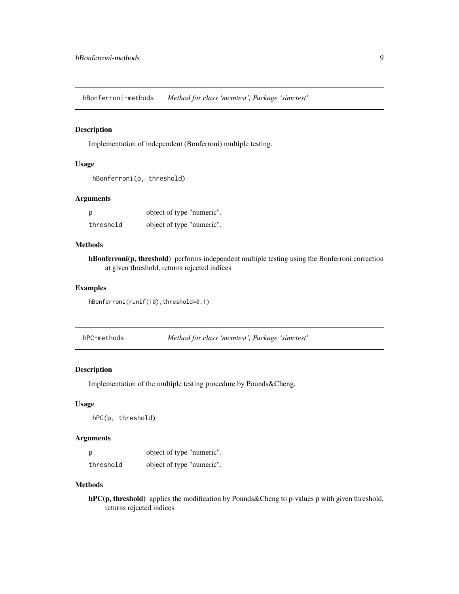<span id="page-8-0"></span>hBonferroni-methods *Method for class 'mcmtest', Package 'simctest'*

# Description

Implementation of independent (Bonferroni) multiple testing.

# Usage

```
hBonferroni(p, threshold)
```
# Arguments

| р         | object of type "numeric". |
|-----------|---------------------------|
| threshold | object of type "numeric". |

# Methods

hBonferroni(p, threshold) performs independent multiple testing using the Bonferroni correction at given threshold, returns rejected indices

# Examples

hBonferroni(runif(10),threshold=0.1)

| hPC-methods |  | Method for class 'mcmtest', Package 'simctest' |  |
|-------------|--|------------------------------------------------|--|
|-------------|--|------------------------------------------------|--|

# Description

Implementation of the multiple testing procedure by Pounds&Cheng.

# Usage

hPC(p, threshold)

# Arguments

| - p       | object of type "numeric". |
|-----------|---------------------------|
| threshold | object of type "numeric". |

#### Methods

hPC(p, threshold) applies the modification by Pounds&Cheng to p-values p with given threshold, returns rejected indices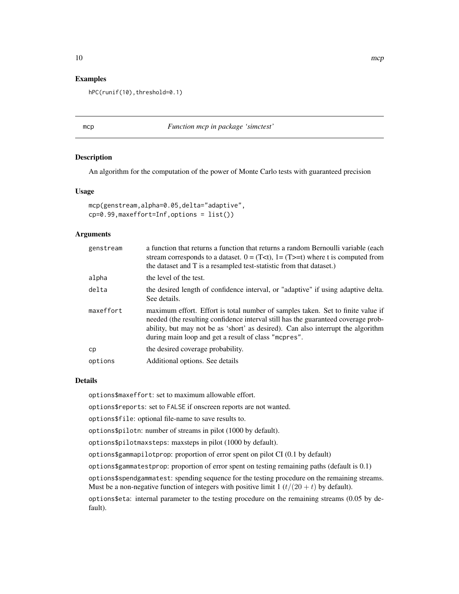#### <span id="page-9-0"></span>Examples

hPC(runif(10),threshold=0.1)

#### mcp *Function mcp in package 'simctest'*

# Description

An algorithm for the computation of the power of Monte Carlo tests with guaranteed precision

#### Usage

```
mcp(genstream,alpha=0.05,delta="adaptive",
cp=0.99,maxeffort=Inf,options = list())
```
#### **Arguments**

| genstream | a function that returns a function that returns a random Bernoulli variable (each<br>stream corresponds to a dataset. $0 = (T0, 1 = (T>0))$ where t is computed from<br>the dataset and T is a resampled test-statistic from that dataset.)                                                                      |
|-----------|------------------------------------------------------------------------------------------------------------------------------------------------------------------------------------------------------------------------------------------------------------------------------------------------------------------|
| alpha     | the level of the test.                                                                                                                                                                                                                                                                                           |
| delta     | the desired length of confidence interval, or "adaptive" if using adaptive delta.<br>See details.                                                                                                                                                                                                                |
| maxeffort | maximum effort. Effort is total number of samples taken. Set to finite value if<br>needed (the resulting confidence interval still has the guaranteed coverage prob-<br>ability, but may not be as 'short' as desired). Can also interrupt the algorithm<br>during main loop and get a result of class "mepres". |
| cp        | the desired coverage probability.                                                                                                                                                                                                                                                                                |
| options   | Additional options. See details                                                                                                                                                                                                                                                                                  |

#### Details

options\$maxeffort: set to maximum allowable effort.

options\$reports: set to FALSE if onscreen reports are not wanted.

options\$file: optional file-name to save results to.

options\$pilotn: number of streams in pilot (1000 by default).

options\$pilotmaxsteps: maxsteps in pilot (1000 by default).

options\$gammapilotprop: proportion of error spent on pilot CI (0.1 by default)

options\$gammatestprop: proportion of error spent on testing remaining paths (default is 0.1)

options\$spendgammatest: spending sequence for the testing procedure on the remaining streams. Must be a non-negative function of integers with positive limit  $1 (t/(20 + t))$  by default).

options\$eta: internal parameter to the testing procedure on the remaining streams (0.05 by default).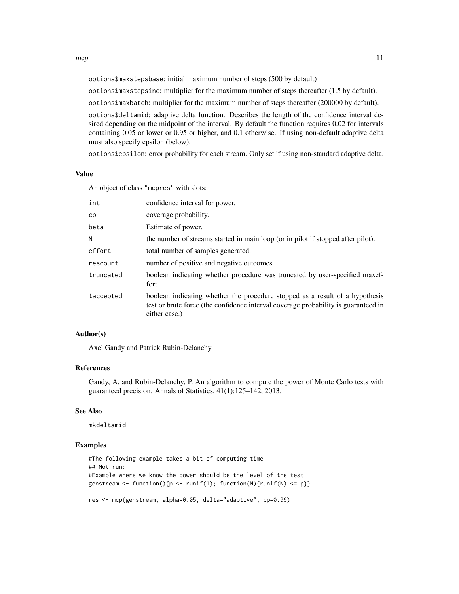options\$maxstepsbase: initial maximum number of steps (500 by default)

options\$maxstepsinc: multiplier for the maximum number of steps thereafter (1.5 by default).

options\$maxbatch: multiplier for the maximum number of steps thereafter (200000 by default).

options\$deltamid: adaptive delta function. Describes the length of the confidence interval desired depending on the midpoint of the interval. By default the function requires 0.02 for intervals containing 0.05 or lower or 0.95 or higher, and 0.1 otherwise. If using non-default adaptive delta must also specify epsilon (below).

options\$epsilon: error probability for each stream. Only set if using non-standard adaptive delta.

# Value

An object of class "mcpres" with slots:

| int       | confidence interval for power.                                                                                                                                                      |
|-----------|-------------------------------------------------------------------------------------------------------------------------------------------------------------------------------------|
| cp        | coverage probability.                                                                                                                                                               |
| beta      | Estimate of power.                                                                                                                                                                  |
| Ν         | the number of streams started in main loop (or in pilot if stopped after pilot).                                                                                                    |
| effort    | total number of samples generated.                                                                                                                                                  |
| rescount  | number of positive and negative outcomes.                                                                                                                                           |
| truncated | boolean indicating whether procedure was truncated by user-specified maxef-<br>fort.                                                                                                |
| taccepted | boolean indicating whether the procedure stopped as a result of a hypothesis<br>test or brute force (the confidence interval coverage probability is guaranteed in<br>either case.) |
|           |                                                                                                                                                                                     |

# Author(s)

Axel Gandy and Patrick Rubin-Delanchy

#### References

Gandy, A. and Rubin-Delanchy, P. An algorithm to compute the power of Monte Carlo tests with guaranteed precision. Annals of Statistics, 41(1):125–142, 2013.

#### See Also

mkdeltamid

#### Examples

#The following example takes a bit of computing time ## Not run: #Example where we know the power should be the level of the test genstream <- function(){p <- runif(1); function(N){runif(N) <= p}} res <- mcp(genstream, alpha=0.05, delta="adaptive", cp=0.99)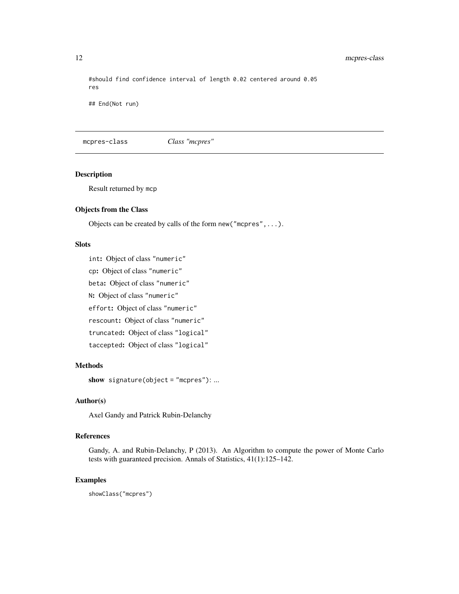#should find confidence interval of length 0.02 centered around 0.05 res

## End(Not run)

mcpres-class *Class "mcpres"*

# Description

Result returned by mcp

# Objects from the Class

Objects can be created by calls of the form new("mcpres",...).

# Slots

int: Object of class "numeric"

cp: Object of class "numeric"

beta: Object of class "numeric"

N: Object of class "numeric"

effort: Object of class "numeric"

rescount: Object of class "numeric"

truncated: Object of class "logical"

taccepted: Object of class "logical"

# Methods

show signature(object = "mcpres"): ...

# Author(s)

Axel Gandy and Patrick Rubin-Delanchy

#### References

Gandy, A. and Rubin-Delanchy, P (2013). An Algorithm to compute the power of Monte Carlo tests with guaranteed precision. Annals of Statistics, 41(1):125–142.

# Examples

showClass("mcpres")

<span id="page-11-0"></span>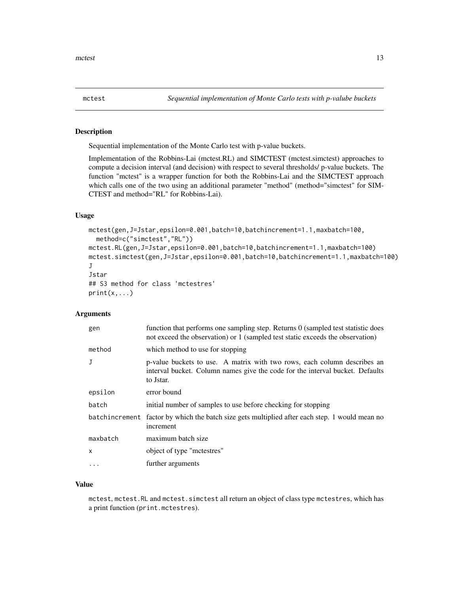<span id="page-12-0"></span>

# Description

Sequential implementation of the Monte Carlo test with p-value buckets.

Implementation of the Robbins-Lai (mctest.RL) and SIMCTEST (mctest.simctest) approaches to compute a decision interval (and decision) with respect to several thresholds/ p-value buckets. The function "mctest" is a wrapper function for both the Robbins-Lai and the SIMCTEST approach which calls one of the two using an additional parameter "method" (method="simctest" for SIM-CTEST and method="RL" for Robbins-Lai).

# Usage

```
mctest(gen,J=Jstar,epsilon=0.001,batch=10,batchincrement=1.1,maxbatch=100,
 method=c("simctest","RL"))
mctest.RL(gen,J=Jstar,epsilon=0.001,batch=10,batchincrement=1.1,maxbatch=100)
mctest.simctest(gen,J=Jstar,epsilon=0.001,batch=10,batchincrement=1.1,maxbatch=100)
J
Jstar
## S3 method for class 'mctestres'
print(x, \ldots)
```
#### Arguments

| gen      | function that performs one sampling step. Returns 0 (sampled test statistic does<br>not exceed the observation) or 1 (sampled test static exceeds the observation)     |
|----------|------------------------------------------------------------------------------------------------------------------------------------------------------------------------|
| method   | which method to use for stopping                                                                                                                                       |
| J        | p-value buckets to use. A matrix with two rows, each column describes an<br>interval bucket. Column names give the code for the interval bucket. Defaults<br>to Jstar. |
| epsilon  | error bound                                                                                                                                                            |
| batch    | initial number of samples to use before checking for stopping                                                                                                          |
|          | batchincrement factor by which the batch size gets multiplied after each step. 1 would mean no<br>increment                                                            |
| maxbatch | maximum batch size                                                                                                                                                     |
| X        | object of type "mctestres"                                                                                                                                             |
| $\cdots$ | further arguments                                                                                                                                                      |

# Value

mctest, mctest.RL and mctest.simctest all return an object of class type mctestres, which has a print function (print.mctestres).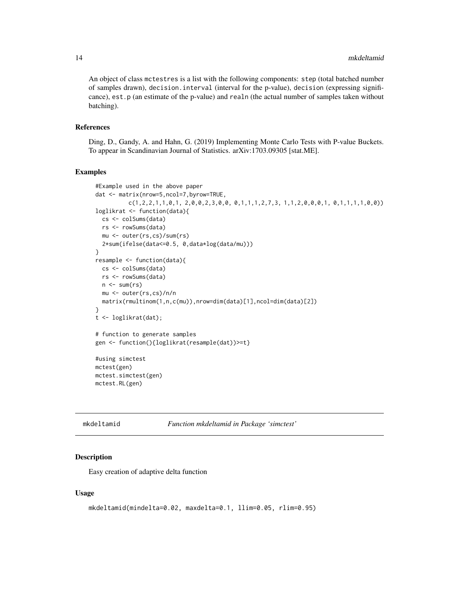<span id="page-13-0"></span>An object of class mctestres is a list with the following components: step (total batched number of samples drawn), decision.interval (interval for the p-value), decision (expressing significance), est.p (an estimate of the p-value) and realn (the actual number of samples taken without batching).

#### References

Ding, D., Gandy, A. and Hahn, G. (2019) Implementing Monte Carlo Tests with P-value Buckets. To appear in Scandinavian Journal of Statistics. arXiv:1703.09305 [stat.ME].

#### Examples

```
#Example used in the above paper
dat <- matrix(nrow=5,ncol=7,byrow=TRUE,
          c(1,2,2,1,1,0,1, 2,0,0,2,3,0,0, 0,1,1,1,2,7,3, 1,1,2,0,0,0,1, 0,1,1,1,1,0,0))loglikrat <- function(data){
 cs <- colSums(data)
 rs <- rowSums(data)
 mu <- outer(rs,cs)/sum(rs)
  2*sum(ifelse(data<=0.5, 0,data*log(data/mu)))
}
resample <- function(data){
 cs <- colSums(data)
  rs <- rowSums(data)
  n \leftarrow sum(rs)mu <- outer(rs,cs)/n/n
  matrix(rmultinom(1,n,c(mu)),nrow=dim(data)[1],ncol=dim(data)[2])
}
t <- loglikrat(dat);
# function to generate samples
gen <- function(){loglikrat(resample(dat))>=t}
#using simctest
mctest(gen)
mctest.simctest(gen)
mctest.RL(gen)
```

| mkdeltamid | Function mkdeltamid in Package 'simctest' |
|------------|-------------------------------------------|
|------------|-------------------------------------------|

#### Description

Easy creation of adaptive delta function

#### Usage

```
mkdeltamid(mindelta=0.02, maxdelta=0.1, llim=0.05, rlim=0.95)
```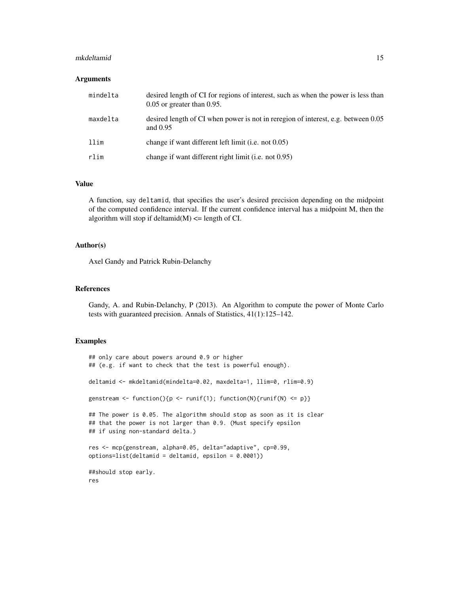#### mkdeltamid 15

#### Arguments

| mindelta | desired length of CI for regions of interest, such as when the power is less than<br>$0.05$ or greater than $0.95$ . |
|----------|----------------------------------------------------------------------------------------------------------------------|
| maxdelta | desired length of CI when power is not in reregion of interest, e.g. between 0.05<br>and $0.95$                      |
| llim     | change if want different left limit ( <i>i.e.</i> not 0.05)                                                          |
| rlim     | change if want different right limit (i.e. not 0.95)                                                                 |

#### Value

A function, say deltamid, that specifies the user's desired precision depending on the midpoint of the computed confidence interval. If the current confidence interval has a midpoint M, then the algorithm will stop if deltamid $(M)$  <= length of CI.

#### Author(s)

Axel Gandy and Patrick Rubin-Delanchy

# References

Gandy, A. and Rubin-Delanchy, P (2013). An Algorithm to compute the power of Monte Carlo tests with guaranteed precision. Annals of Statistics, 41(1):125–142.

```
## only care about powers around 0.9 or higher
## (e.g. if want to check that the test is powerful enough).
deltamid <- mkdeltamid(mindelta=0.02, maxdelta=1, llim=0, rlim=0.9)
genstream <- function(){p <- runif(1); function(N){runif(N) <= p}}
## The power is 0.05. The algorithm should stop as soon as it is clear
## that the power is not larger than 0.9. (Must specify epsilon
## if using non-standard delta.)
res <- mcp(genstream, alpha=0.05, delta="adaptive", cp=0.99,
options=list(deltamid = deltamid, epsilon = 0.0001))
##should stop early.
res
```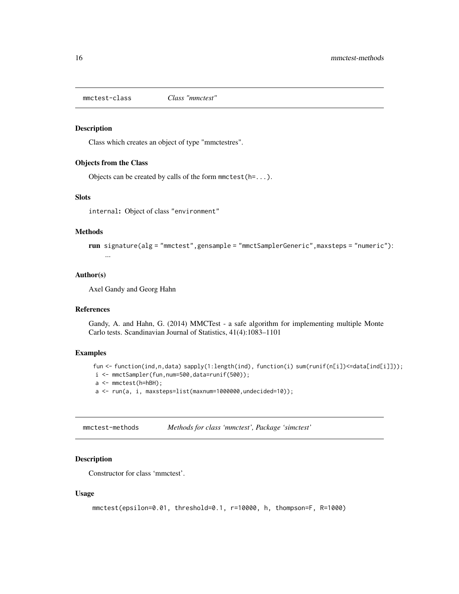<span id="page-15-0"></span>mmctest-class *Class "mmctest"*

#### Description

Class which creates an object of type "mmctestres".

#### Objects from the Class

Objects can be created by calls of the form mmctest(h=...).

# Slots

internal: Object of class "environment"

# Methods

```
run signature(alg = "mmctest",gensample = "mmctSamplerGeneric",maxsteps = "numeric"):
    ...
```
## Author(s)

Axel Gandy and Georg Hahn

# References

Gandy, A. and Hahn, G. (2014) MMCTest - a safe algorithm for implementing multiple Monte Carlo tests. Scandinavian Journal of Statistics, 41(4):1083–1101

# Examples

```
fun <- function(ind,n,data) sapply(1:length(ind), function(i) sum(runif(n[i])<=data[ind[i]]));
```
i <- mmctSampler(fun,num=500,data=runif(500));

```
a <- mmctest(h=hBH);
```
a <- run(a, i, maxsteps=list(maxnum=1000000,undecided=10));

mmctest-methods *Methods for class 'mmctest', Package 'simctest'*

#### Description

Constructor for class 'mmctest'.

#### Usage

```
mmctest(epsilon=0.01, threshold=0.1, r=10000, h, thompson=F, R=1000)
```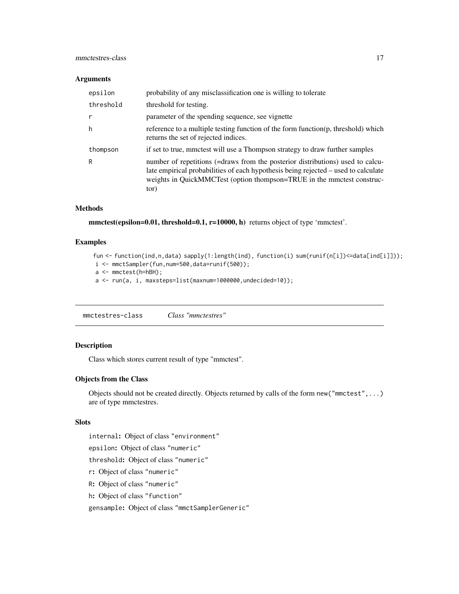# <span id="page-16-0"></span>mmctestres-class 17

#### Arguments

| epsilon   | probability of any misclassification one is willing to tolerate                                                                                                                                                                                        |
|-----------|--------------------------------------------------------------------------------------------------------------------------------------------------------------------------------------------------------------------------------------------------------|
| threshold | threshold for testing.                                                                                                                                                                                                                                 |
| r         | parameter of the spending sequence, see vignette                                                                                                                                                                                                       |
| h         | reference to a multiple testing function of the form function(p, threshold) which<br>returns the set of rejected indices.                                                                                                                              |
| thompson  | if set to true, mmctest will use a Thompson strategy to draw further samples                                                                                                                                                                           |
| R         | number of repetitions (=draws from the posterior distributions) used to calcu-<br>late empirical probabilities of each hypothesis being rejected – used to calculate<br>weights in QuickMMCTest (option thompson=TRUE in the mmctest construc-<br>tor) |

# Methods

mmctest(epsilon=0.01, threshold=0.1, r=10000, h) returns object of type 'mmctest'.

# Examples

```
fun <- function(ind,n,data) sapply(1:length(ind), function(i) sum(runif(n[i])<=data[ind[i]]));
i <- mmctSampler(fun,num=500,data=runif(500));
a <- mmctest(h=hBH);
a <- run(a, i, maxsteps=list(maxnum=1000000,undecided=10));
```
mmctestres-class *Class "mmctestres"*

# Description

Class which stores current result of type "mmctest".

# Objects from the Class

Objects should not be created directly. Objects returned by calls of the form new("mmctest",...) are of type mmctestres.

# Slots

internal: Object of class "environment"

epsilon: Object of class "numeric"

threshold: Object of class "numeric"

- r: Object of class "numeric"
- R: Object of class "numeric"
- h: Object of class "function"

gensample: Object of class "mmctSamplerGeneric"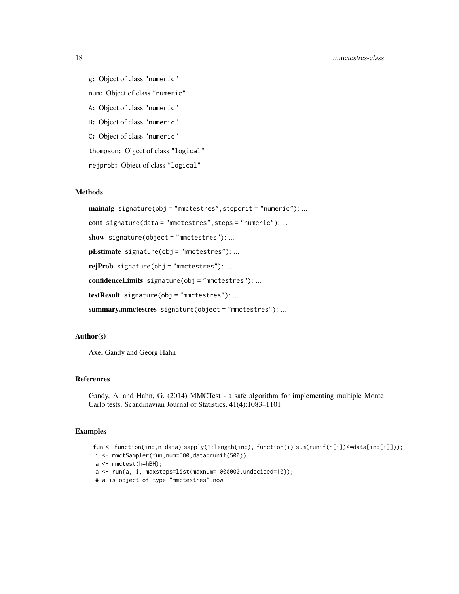g: Object of class "numeric" num: Object of class "numeric" A: Object of class "numeric" B: Object of class "numeric" C: Object of class "numeric" thompson: Object of class "logical" rejprob: Object of class "logical"

#### Methods

mainalg signature(obj = "mmctestres", stopcrit = "numeric"): ... cont signature(data = "mmctestres",steps = "numeric"): ... show signature(object = "mmctestres"): ... pEstimate signature(obj = "mmctestres"): ... rejProb signature(obj = "mmctestres"): ... confidenceLimits signature(obj = "mmctestres"): ... testResult signature(obj = "mmctestres"): ... summary.mmctestres signature(object = "mmctestres"): ...

# Author(s)

Axel Gandy and Georg Hahn

# References

Gandy, A. and Hahn, G. (2014) MMCTest - a safe algorithm for implementing multiple Monte Carlo tests. Scandinavian Journal of Statistics, 41(4):1083–1101

```
fun <- function(ind,n,data) sapply(1:length(ind), function(i) sum(runif(n[i])<=data[ind[i]]));
i <- mmctSampler(fun,num=500,data=runif(500));
a <- mmctest(h=hBH);
a <- run(a, i, maxsteps=list(maxnum=1000000,undecided=10));
# a is object of type "mmctestres" now
```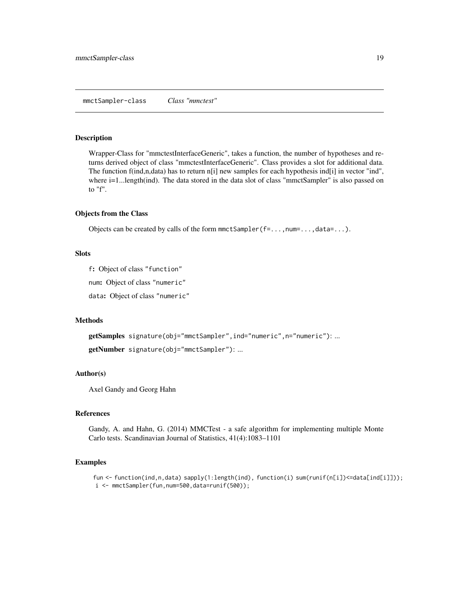<span id="page-18-0"></span>mmctSampler-class *Class "mmctest"*

#### Description

Wrapper-Class for "mmctestInterfaceGeneric", takes a function, the number of hypotheses and returns derived object of class "mmctestInterfaceGeneric". Class provides a slot for additional data. The function f(ind,n,data) has to return n[i] new samples for each hypothesis ind[i] in vector "ind", where i=1...length(ind). The data stored in the data slot of class "mmctSampler" is also passed on to "f".

#### Objects from the Class

Objects can be created by calls of the form  $mmtSampler(f=...,num=...,data=...).$ 

#### **Slots**

f: Object of class "function"

num: Object of class "numeric"

data: Object of class "numeric"

#### Methods

getSamples signature(obj="mmctSampler",ind="numeric",n="numeric"): ...

getNumber signature(obj="mmctSampler"): ...

#### Author(s)

Axel Gandy and Georg Hahn

#### References

Gandy, A. and Hahn, G. (2014) MMCTest - a safe algorithm for implementing multiple Monte Carlo tests. Scandinavian Journal of Statistics, 41(4):1083–1101

```
fun <- function(ind,n,data) sapply(1:length(ind), function(i) sum(runif(n[i])<=data[ind[i]]));
i <- mmctSampler(fun,num=500,data=runif(500));
```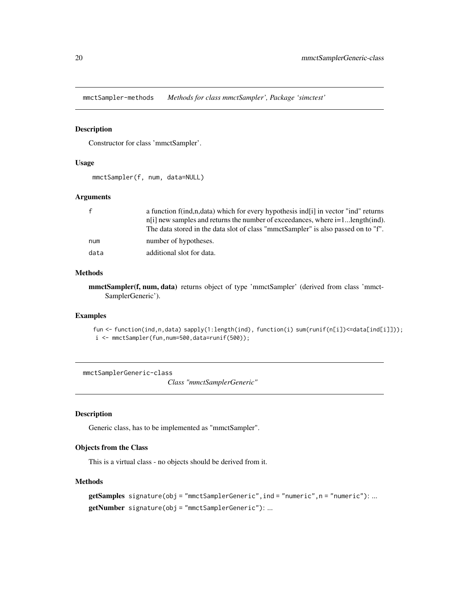<span id="page-19-0"></span>mmctSampler-methods *Methods for class mmctSampler', Package 'simctest'*

# Description

Constructor for class 'mmctSampler'.

#### Usage

```
mmctSampler(f, num, data=NULL)
```
# Arguments

| $\mathsf{f}$ | a function f(ind,n,data) which for every hypothesis ind [i] in vector "ind" returns<br>$n[i]$ new samples and returns the number of exceedances, where $i=1length$ (ind). |
|--------------|---------------------------------------------------------------------------------------------------------------------------------------------------------------------------|
|              | The data stored in the data slot of class "mmctSampler" is also passed on to "f".                                                                                         |
| num          | number of hypotheses.                                                                                                                                                     |
| data         | additional slot for data.                                                                                                                                                 |

# Methods

mmctSampler(f, num, data) returns object of type 'mmctSampler' (derived from class 'mmct-SamplerGeneric').

#### Examples

```
fun <- function(ind,n,data) sapply(1:length(ind), function(i) sum(runif(n[i])<=data[ind[i]]));
i <- mmctSampler(fun,num=500,data=runif(500));
```
mmctSamplerGeneric-class

*Class "mmctSamplerGeneric"*

#### Description

Generic class, has to be implemented as "mmctSampler".

#### Objects from the Class

This is a virtual class - no objects should be derived from it.

# Methods

```
getSamples signature(obj = "mmctSamplerGeneric", ind = "numeric", n = "numeric"): ...
getNumber signature(obj = "mmctSamplerGeneric"): ...
```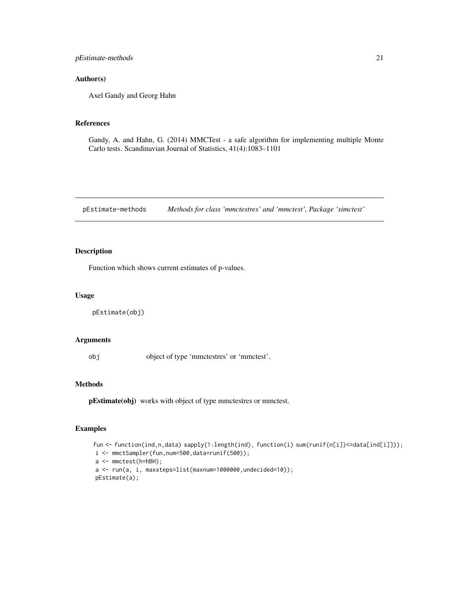<span id="page-20-0"></span>pEstimate-methods 21

#### Author(s)

Axel Gandy and Georg Hahn

#### References

Gandy, A. and Hahn, G. (2014) MMCTest - a safe algorithm for implementing multiple Monte Carlo tests. Scandinavian Journal of Statistics, 41(4):1083–1101

pEstimate-methods *Methods for class 'mmctestres' and 'mmctest', Package 'simctest'*

# Description

Function which shows current estimates of p-values.

#### Usage

```
pEstimate(obj)
```
#### Arguments

obj object of type 'mmctestres' or 'mmctest'.

#### Methods

pEstimate(obj) works with object of type mmctestres or mmctest.

```
fun <- function(ind,n,data) sapply(1:length(ind), function(i) sum(runif(n[i])<=data[ind[i]]));
i <- mmctSampler(fun,num=500,data=runif(500));
a <- mmctest(h=hBH);
a <- run(a, i, maxsteps=list(maxnum=1000000,undecided=10));
pEstimate(a);
```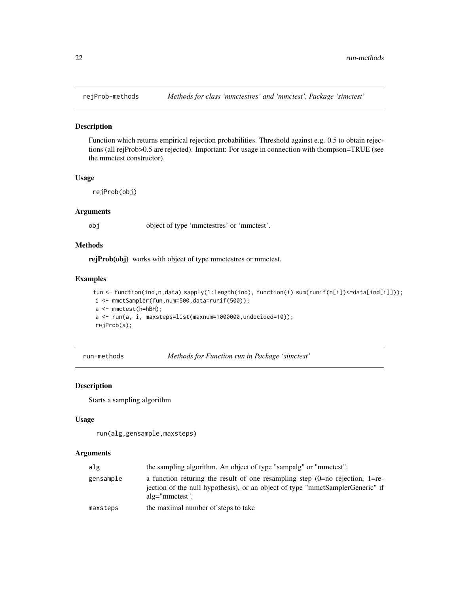<span id="page-21-0"></span>

#### Description

Function which returns empirical rejection probabilities. Threshold against e.g. 0.5 to obtain rejections (all rejProb>0.5 are rejected). Important: For usage in connection with thompson=TRUE (see the mmctest constructor).

# Usage

rejProb(obj)

# Arguments

obj object of type 'mmctestres' or 'mmctest'.

# Methods

rejProb(obj) works with object of type mmctestres or mmctest.

#### Examples

```
fun <- function(ind,n,data) sapply(1:length(ind), function(i) sum(runif(n[i])<=data[ind[i]]));
i <- mmctSampler(fun,num=500,data=runif(500));
a <- mmctest(h=hBH);
a <- run(a, i, maxsteps=list(maxnum=1000000,undecided=10));
rejProb(a);
```
<span id="page-21-1"></span>run-methods *Methods for Function run in Package 'simctest'*

#### Description

Starts a sampling algorithm

#### Usage

```
run(alg,gensample,maxsteps)
```
#### Arguments

| alg       | the sampling algorithm. An object of type "sampalg" or "mmctest".                                                                                                                    |
|-----------|--------------------------------------------------------------------------------------------------------------------------------------------------------------------------------------|
| gensample | a function returing the result of one resampling step $(0=$ no rejection, 1=re-<br>jection of the null hypothesis), or an object of type "mmctSamplerGeneric" if<br>$alg="mmctest".$ |
| maxsteps  | the maximal number of steps to take                                                                                                                                                  |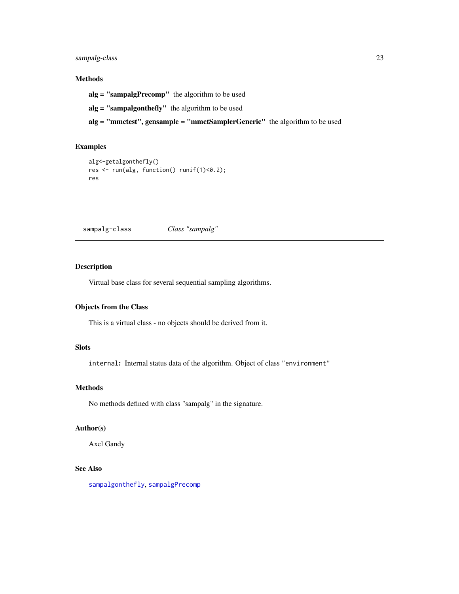# <span id="page-22-0"></span>sampalg-class 23

# Methods

alg = "sampalgPrecomp" the algorithm to be used alg = "sampalgonthefly" the algorithm to be used alg = "mmctest", gensample = "mmctSamplerGeneric" the algorithm to be used

# Examples

```
alg<-getalgonthefly()
res <- run(alg, function() runif(1)<0.2);
res
```
<span id="page-22-1"></span>sampalg-class *Class "sampalg"*

#### Description

Virtual base class for several sequential sampling algorithms.

# Objects from the Class

This is a virtual class - no objects should be derived from it.

# Slots

internal: Internal status data of the algorithm. Object of class "environment"

# Methods

No methods defined with class "sampalg" in the signature.

# Author(s)

Axel Gandy

# See Also

[sampalgonthefly](#page-23-1), [sampalgPrecomp](#page-25-1)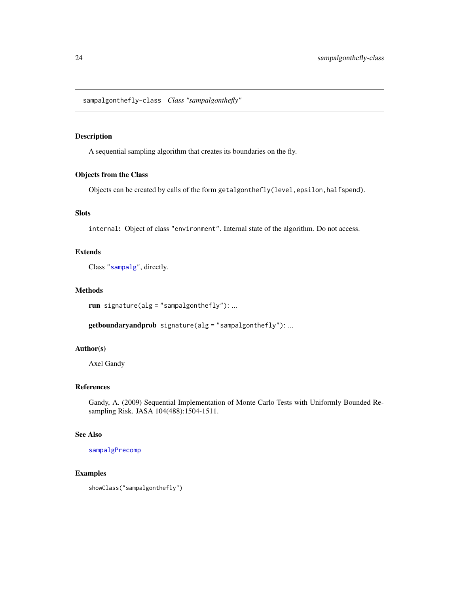<span id="page-23-1"></span><span id="page-23-0"></span>sampalgonthefly-class *Class "sampalgonthefly"*

# Description

A sequential sampling algorithm that creates its boundaries on the fly.

# Objects from the Class

Objects can be created by calls of the form getalgonthefly(level,epsilon,halfspend).

# Slots

internal: Object of class "environment". Internal state of the algorithm. Do not access.

# Extends

Class ["sampalg"](#page-22-1), directly.

# Methods

```
run signature(alg = "sampalgonthefly"): ...
```
getboundaryandprob signature(alg = "sampalgonthefly"): ...

#### Author(s)

Axel Gandy

# References

Gandy, A. (2009) Sequential Implementation of Monte Carlo Tests with Uniformly Bounded Resampling Risk. JASA 104(488):1504-1511.

# See Also

[sampalgPrecomp](#page-25-1)

#### Examples

showClass("sampalgonthefly")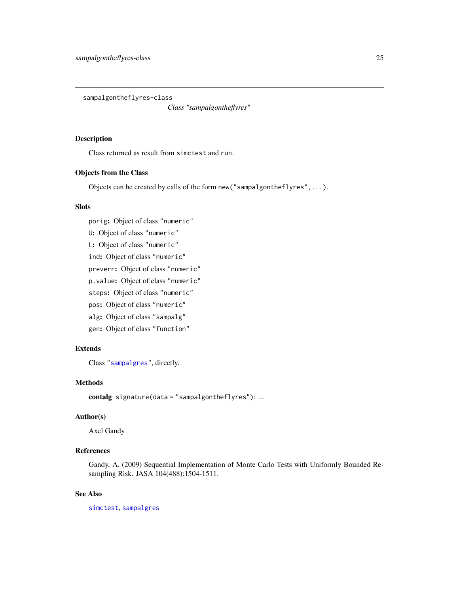<span id="page-24-0"></span>sampalgontheflyres-class

*Class "sampalgontheflyres"*

#### Description

Class returned as result from simctest and run.

# Objects from the Class

Objects can be created by calls of the form new("sampalgontheflyres",...).

# Slots

porig: Object of class "numeric" U: Object of class "numeric" L: Object of class "numeric" ind: Object of class "numeric" preverr: Object of class "numeric" p.value: Object of class "numeric" steps: Object of class "numeric" pos: Object of class "numeric" alg: Object of class "sampalg" gen: Object of class "function"

# Extends

Class ["sampalgres"](#page-26-1), directly.

# Methods

contalg signature(data = "sampalgontheflyres"): ...

# Author(s)

Axel Gandy

# References

Gandy, A. (2009) Sequential Implementation of Monte Carlo Tests with Uniformly Bounded Resampling Risk. JASA 104(488):1504-1511.

# See Also

[simctest](#page-27-1), [sampalgres](#page-26-1)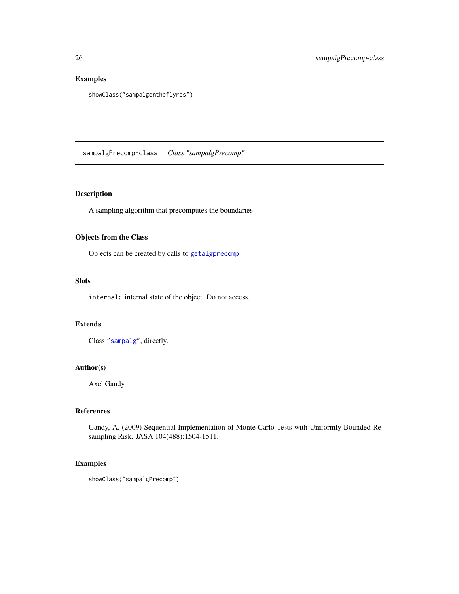# Examples

```
showClass("sampalgontheflyres")
```
<span id="page-25-1"></span>sampalgPrecomp-class *Class "sampalgPrecomp"*

# Description

A sampling algorithm that precomputes the boundaries

# Objects from the Class

Objects can be created by calls to [getalgprecomp](#page-3-2)

# Slots

internal: internal state of the object. Do not access.

# Extends

Class ["sampalg"](#page-22-1), directly.

# Author(s)

Axel Gandy

# References

Gandy, A. (2009) Sequential Implementation of Monte Carlo Tests with Uniformly Bounded Resampling Risk. JASA 104(488):1504-1511.

```
showClass("sampalgPrecomp")
```
<span id="page-25-0"></span>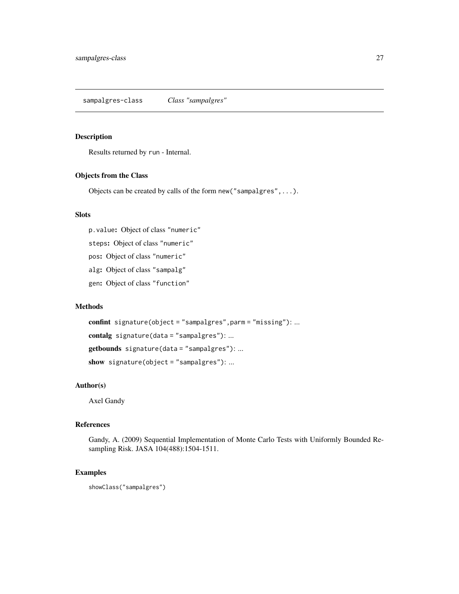# <span id="page-26-1"></span><span id="page-26-0"></span>Description

Results returned by run - Internal.

#### Objects from the Class

Objects can be created by calls of the form new("sampalgres",...).

# Slots

p.value: Object of class "numeric"

steps: Object of class "numeric"

pos: Object of class "numeric"

alg: Object of class "sampalg"

gen: Object of class "function"

### Methods

confint signature(object = "sampalgres", parm = "missing"): ... contalg signature(data = "sampalgres"): ... getbounds signature(data = "sampalgres"): ... show signature(object = "sampalgres"): ...

#### Author(s)

Axel Gandy

# References

Gandy, A. (2009) Sequential Implementation of Monte Carlo Tests with Uniformly Bounded Resampling Risk. JASA 104(488):1504-1511.

# Examples

showClass("sampalgres")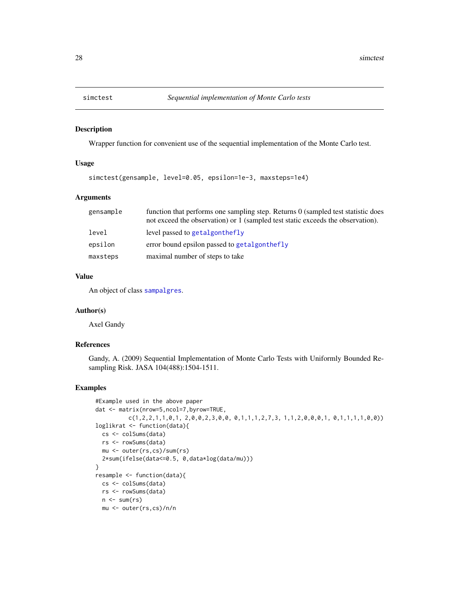<span id="page-27-1"></span><span id="page-27-0"></span>

#### Description

Wrapper function for convenient use of the sequential implementation of the Monte Carlo test.

#### Usage

simctest(gensample, level=0.05, epsilon=1e-3, maxsteps=1e4)

# Arguments

| gensample | function that performs one sampling step. Returns 0 (sampled test statistic does<br>not exceed the observation) or 1 (sampled test static exceeds the observation). |
|-----------|---------------------------------------------------------------------------------------------------------------------------------------------------------------------|
| level     | level passed to getalgonthefly                                                                                                                                      |
| epsilon   | error bound epsilon passed to getalgonthefly                                                                                                                        |
| maxsteps  | maximal number of steps to take                                                                                                                                     |

# Value

An object of class [sampalgres](#page-26-1).

#### Author(s)

Axel Gandy

# References

Gandy, A. (2009) Sequential Implementation of Monte Carlo Tests with Uniformly Bounded Resampling Risk. JASA 104(488):1504-1511.

```
#Example used in the above paper
dat <- matrix(nrow=5,ncol=7,byrow=TRUE,
         c(1,2,2,1,1,0,1, 2,0,0,2,3,0,0, 0,1,1,1,2,7,3, 1,1,2,0,0,0,1, 0,1,1,1,1,0,0))loglikrat <- function(data){
 cs <- colSums(data)
 rs <- rowSums(data)
 mu <- outer(rs,cs)/sum(rs)
 2*sum(ifelse(data<=0.5, 0,data*log(data/mu)))
}
resample <- function(data){
 cs <- colSums(data)
 rs <- rowSums(data)
 n \leftarrow sum(rs)mu <- outer(rs,cs)/n/n
```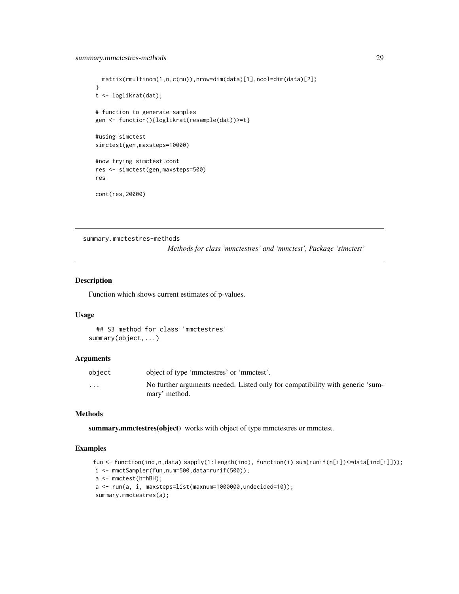```
matrix(rmultinom(1,n,c(mu)),nrow=dim(data)[1],ncol=dim(data)[2])
}
t <- loglikrat(dat);
# function to generate samples
gen <- function(){loglikrat(resample(dat))>=t}
#using simctest
simctest(gen,maxsteps=10000)
#now trying simctest.cont
res <- simctest(gen,maxsteps=500)
res
cont(res,20000)
```
summary.mmctestres-methods

*Methods for class 'mmctestres' and 'mmctest', Package 'simctest'*

# Description

Function which shows current estimates of p-values.

#### Usage

```
## S3 method for class 'mmctestres'
summary(object,...)
```
#### Arguments

| object                  | object of type 'mmctestres' or 'mmctest'.                                     |
|-------------------------|-------------------------------------------------------------------------------|
| $\cdot$ $\cdot$ $\cdot$ | No further arguments needed. Listed only for compatibility with generic 'sum- |
|                         | mary' method.                                                                 |

#### Methods

summary.mmctestres(object) works with object of type mmctestres or mmctest.

```
fun <- function(ind,n,data) sapply(1:length(ind), function(i) sum(runif(n[i])<=data[ind[i]]));
i <- mmctSampler(fun,num=500,data=runif(500));
a <- mmctest(h=hBH);
a <- run(a, i, maxsteps=list(maxnum=1000000,undecided=10));
summary.mmctestres(a);
```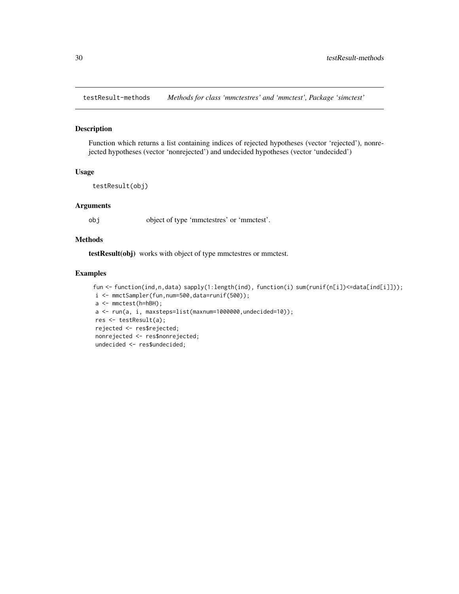<span id="page-29-0"></span>testResult-methods *Methods for class 'mmctestres' and 'mmctest', Package 'simctest'*

# Description

Function which returns a list containing indices of rejected hypotheses (vector 'rejected'), nonrejected hypotheses (vector 'nonrejected') and undecided hypotheses (vector 'undecided')

#### Usage

```
testResult(obj)
```
# Arguments

obj object of type 'mmctestres' or 'mmctest'.

# Methods

testResult(obj) works with object of type mmctestres or mmctest.

```
fun <- function(ind,n,data) sapply(1:length(ind), function(i) sum(runif(n[i])<=data[ind[i]]));
i <- mmctSampler(fun,num=500,data=runif(500));
a <- mmctest(h=hBH);
a <- run(a, i, maxsteps=list(maxnum=1000000,undecided=10));
res <- testResult(a);
rejected <- res$rejected;
nonrejected <- res$nonrejected;
undecided <- res$undecided;
```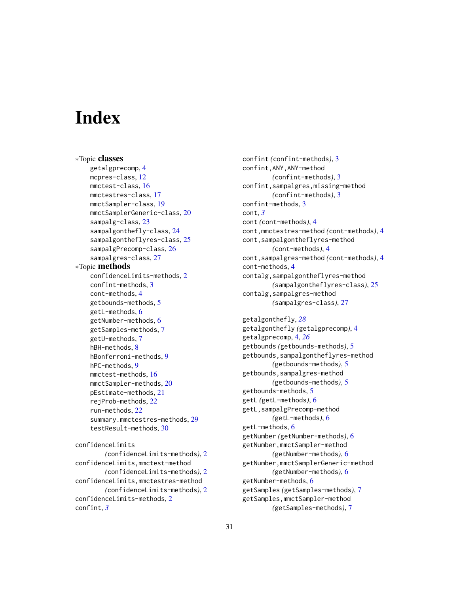# <span id="page-30-0"></span>**Index**

∗Topic classes getalgprecomp, [4](#page-3-0) mcpres-class, [12](#page-11-0) mmctest-class, [16](#page-15-0) mmctestres-class, [17](#page-16-0) mmctSampler-class, [19](#page-18-0) mmctSamplerGeneric-class, [20](#page-19-0) sampalg-class, [23](#page-22-0) sampalgonthefly-class, [24](#page-23-0) sampalgontheflyres-class, [25](#page-24-0) sampalgPrecomp-class, [26](#page-25-0) sampalgres-class, [27](#page-26-0) ∗Topic methods confidenceLimits-methods, [2](#page-1-0) confint-methods, [3](#page-2-0) cont-methods, [4](#page-3-0) getbounds-methods, [5](#page-4-0) getL-methods, [6](#page-5-0) getNumber-methods, [6](#page-5-0) getSamples-methods, [7](#page-6-0) getU-methods, [7](#page-6-0) hBH-methods, [8](#page-7-0) hBonferroni-methods, [9](#page-8-0) hPC-methods, [9](#page-8-0) mmctest-methods, [16](#page-15-0) mmctSampler-methods, [20](#page-19-0) pEstimate-methods, [21](#page-20-0) rejProb-methods, [22](#page-21-0) run-methods, [22](#page-21-0) summary.mmctestres-methods, [29](#page-28-0) testResult-methods, [30](#page-29-0) confidenceLimits

```
(confidenceLimits-methods), 2
confidenceLimits,mmctest-method
        (confidenceLimits-methods), 2
confidenceLimits,mmctestres-method
        (confidenceLimits-methods), 2
confidenceLimits-methods, 2
confint, 3
```
confint *(*confint-methods*)*, [3](#page-2-0) confint,ANY,ANY-method *(*confint-methods*)*, [3](#page-2-0) confint,sampalgres,missing-method *(*confint-methods*)*, [3](#page-2-0) confint-methods, [3](#page-2-0) cont, *[3](#page-2-0)* cont *(*cont-methods*)*, [4](#page-3-0) cont,mmctestres-method *(*cont-methods*)*, [4](#page-3-0) cont,sampalgontheflyres-method *(*cont-methods*)*, [4](#page-3-0) cont,sampalgres-method *(*cont-methods*)*, [4](#page-3-0) cont-methods, [4](#page-3-0) contalg,sampalgontheflyres-method *(*sampalgontheflyres-class*)*, [25](#page-24-0) contalg,sampalgres-method *(*sampalgres-class*)*, [27](#page-26-0)

getalgonthefly, *[28](#page-27-0)* getalgonthefly *(*getalgprecomp*)*, [4](#page-3-0) getalgprecomp, [4,](#page-3-0) *[26](#page-25-0)* getbounds *(*getbounds-methods*)*, [5](#page-4-0) getbounds,sampalgontheflyres-method *(*getbounds-methods*)*, [5](#page-4-0) getbounds,sampalgres-method *(*getbounds-methods*)*, [5](#page-4-0) getbounds-methods, [5](#page-4-0) getL *(*getL-methods*)*, [6](#page-5-0) getL,sampalgPrecomp-method *(*getL-methods*)*, [6](#page-5-0) getL-methods, [6](#page-5-0) getNumber *(*getNumber-methods*)*, [6](#page-5-0) getNumber,mmctSampler-method *(*getNumber-methods*)*, [6](#page-5-0) getNumber,mmctSamplerGeneric-method *(*getNumber-methods*)*, [6](#page-5-0) getNumber-methods, [6](#page-5-0) getSamples *(*getSamples-methods*)*, [7](#page-6-0) getSamples,mmctSampler-method *(*getSamples-methods*)*, [7](#page-6-0)